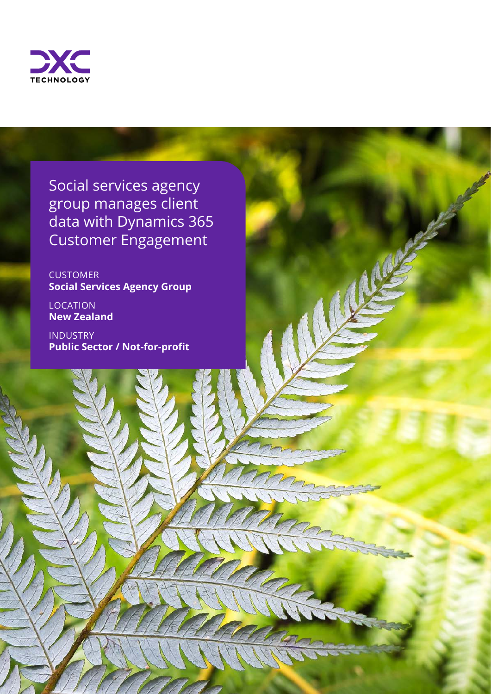

Social services agency group manages client data with Dynamics 365 Customer Engagement

CUSTOMER **Social Services Agency Group**

LOCATION **New Zealand** 

INDUSTRY **Public Sector / Not-for-profit**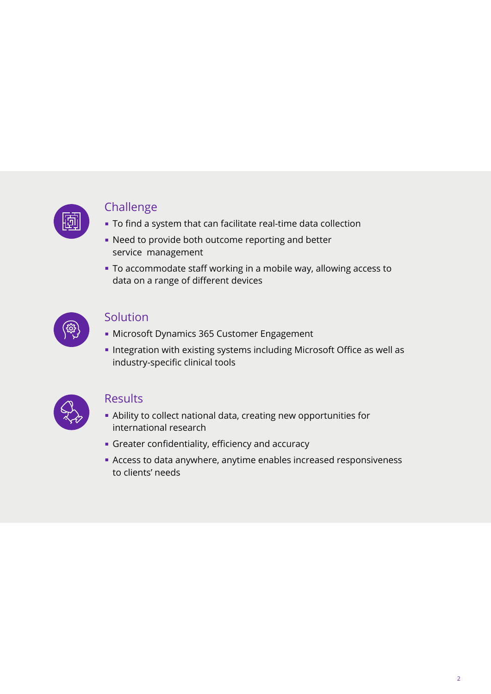

### Challenge

- To find a system that can facilitate real-time data collection
- Need to provide both outcome reporting and better service management
- To accommodate staff working in a mobile way, allowing access to data on a range of different devices



### Solution

- Microsoft Dynamics 365 Customer Engagement
- Integration with existing systems including Microsoft Office as well as industry-specific clinical tools



#### **Results**

- Ability to collect national data, creating new opportunities for international research
- Greater confidentiality, efficiency and accuracy
- Access to data anywhere, anytime enables increased responsiveness to clients' needs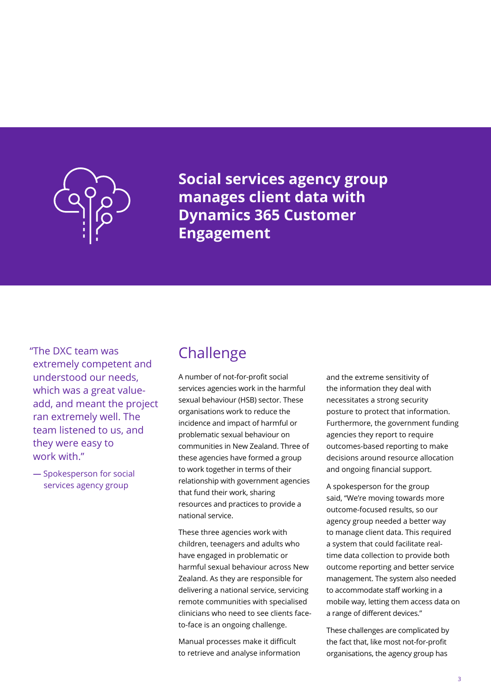

**Social services agency group manages client data with Dynamics 365 Customer Engagement**

"The DXC team was extremely competent and understood our needs, which was a great valueadd, and meant the project ran extremely well. The team listened to us, and they were easy to work with"

**—** Spokesperson for social services agency group

## Challenge

A number of not-for-profit social services agencies work in the harmful sexual behaviour (HSB) sector. These organisations work to reduce the incidence and impact of harmful or problematic sexual behaviour on communities in New Zealand. Three of these agencies have formed a group to work together in terms of their relationship with government agencies that fund their work, sharing resources and practices to provide a national service.

These three agencies work with children, teenagers and adults who have engaged in problematic or harmful sexual behaviour across New Zealand. As they are responsible for delivering a national service, servicing remote communities with specialised clinicians who need to see clients faceto-face is an ongoing challenge.

Manual processes make it difficult to retrieve and analyse information and the extreme sensitivity of the information they deal with necessitates a strong security posture to protect that information. Furthermore, the government funding agencies they report to require outcomes-based reporting to make decisions around resource allocation and ongoing financial support.

A spokesperson for the group said, "We're moving towards more outcome-focused results, so our agency group needed a better way to manage client data. This required a system that could facilitate realtime data collection to provide both outcome reporting and better service management. The system also needed to accommodate staff working in a mobile way, letting them access data on a range of different devices."

These challenges are complicated by the fact that, like most not-for-profit organisations, the agency group has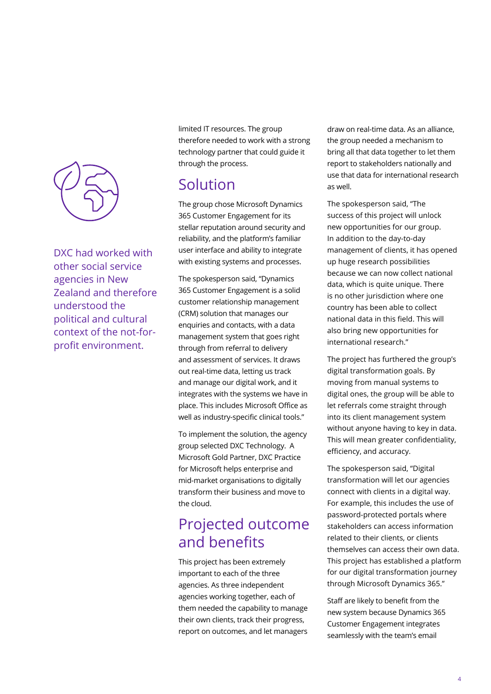

DXC had worked with other social service agencies in New Zealand and therefore understood the political and cultural context of the not-forprofit environment.

limited IT resources. The group therefore needed to work with a strong technology partner that could guide it through the process.

## Solution

The group chose Microsoft Dynamics 365 Customer Engagement for its stellar reputation around security and reliability, and the platform's familiar user interface and ability to integrate with existing systems and processes.

The spokesperson said, "Dynamics 365 Customer Engagement is a solid customer relationship management (CRM) solution that manages our enquiries and contacts, with a data management system that goes right through from referral to delivery and assessment of services. It draws out real-time data, letting us track and manage our digital work, and it integrates with the systems we have in place. This includes Microsoft Office as well as industry-specific clinical tools."

To implement the solution, the agency group selected DXC Technology. A Microsoft Gold Partner, DXC Practice for Microsoft helps enterprise and mid-market organisations to digitally transform their business and move to the cloud.

# Projected outcome and benefits

This project has been extremely important to each of the three agencies. As three independent agencies working together, each of them needed the capability to manage their own clients, track their progress, report on outcomes, and let managers draw on real-time data. As an alliance, the group needed a mechanism to bring all that data together to let them report to stakeholders nationally and use that data for international research as well.

The spokesperson said, "The success of this project will unlock new opportunities for our group. In addition to the day-to-day management of clients, it has opened up huge research possibilities because we can now collect national data, which is quite unique. There is no other jurisdiction where one country has been able to collect national data in this field. This will also bring new opportunities for international research."

The project has furthered the group's digital transformation goals. By moving from manual systems to digital ones, the group will be able to let referrals come straight through into its client management system without anyone having to key in data. This will mean greater confidentiality, efficiency, and accuracy.

The spokesperson said, "Digital transformation will let our agencies connect with clients in a digital way. For example, this includes the use of password-protected portals where stakeholders can access information related to their clients, or clients themselves can access their own data. This project has established a platform for our digital transformation journey through Microsoft Dynamics 365."

Staff are likely to benefit from the new system because Dynamics 365 Customer Engagement integrates seamlessly with the team's email